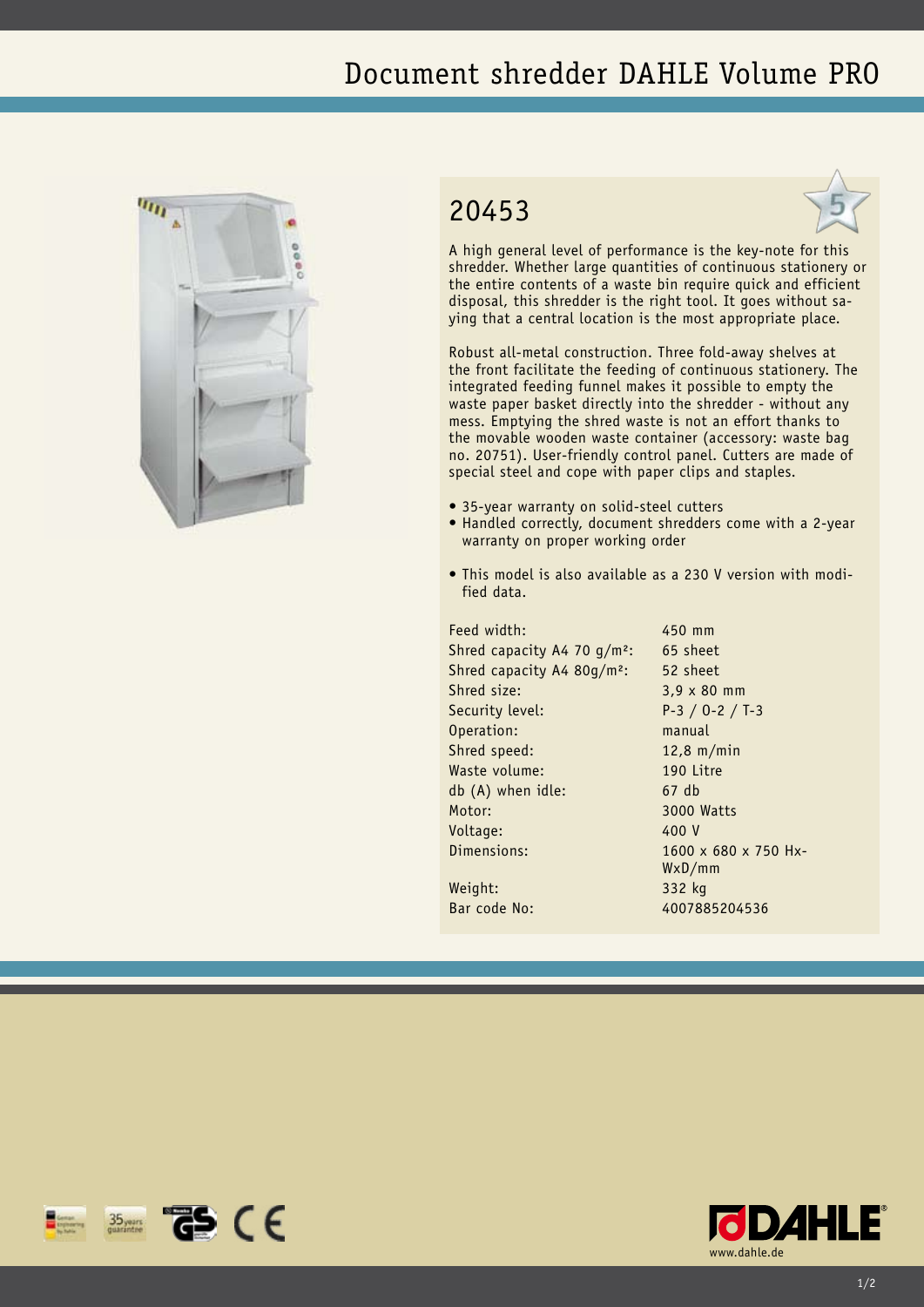## Document shredder DAHLE Volume PRO



## 20453



A high general level of performance is the key-note for this shredder. Whether large quantities of continuous stationery or the entire contents of a waste bin require quick and efficient disposal, this shredder is the right tool. It goes without saying that a central location is the most appropriate place.

Robust all-metal construction. Three fold-away shelves at the front facilitate the feeding of continuous stationery. The integrated feeding funnel makes it possible to empty the waste paper basket directly into the shredder - without any mess. Emptying the shred waste is not an effort thanks to the movable wooden waste container (accessory: waste bag no. 20751). User-friendly control panel. Cutters are made of special steel and cope with paper clips and staples.

- 35-year warranty on solid-steel cutters
- Handled correctly, document shredders come with a 2-year warranty on proper working order
- This model is also available as a 230 V version with modified data.

Feed width: 450 mm Shred capacity A4 70  $g/m^2$ : 65 sheet Shred capacity A4 80g/m²: 52 sheet Shred size: 3,9 x 80 mm Security level: P-3 / O-2 / T-3 Operation: manual Shred speed: 12,8 m/min Waste volume: 190 Litre db (A) when idle: 67 db Motor: 3000 Watts Voltage: 400 V Dimensions: 1600 x 680 x 750 Hx-

WxD/mm Weight: 332 kg Bar code No: 4007885204536